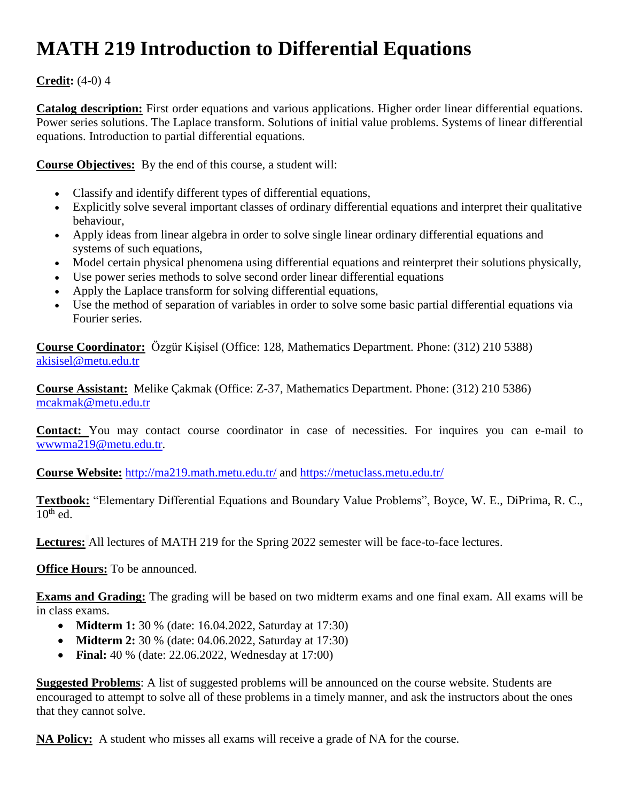## **MATH 219 Introduction to Differential Equations**

## **Credit:** (4-0) 4

**Catalog description:** First order equations and various applications. Higher order linear differential equations. Power series solutions. The Laplace transform. Solutions of initial value problems. Systems of linear differential equations. Introduction to partial differential equations.

**Course Objectives:** By the end of this course, a student will:

- Classify and identify different types of differential equations,
- Explicitly solve several important classes of ordinary differential equations and interpret their qualitative behaviour,
- Apply ideas from linear algebra in order to solve single linear ordinary differential equations and systems of such equations,
- Model certain physical phenomena using differential equations and reinterpret their solutions physically,
- Use power series methods to solve second order linear differential equations
- Apply the Laplace transform for solving differential equations,
- Use the method of separation of variables in order to solve some basic partial differential equations via Fourier series.

**Course Coordinator:** Özgür Kişisel (Office: 128, Mathematics Department. Phone: (312) 210 5388) [akisisel@metu.edu.tr](mailto:akisisel@metu.edu.tr)

**Course Assistant:** Melike Çakmak (Office: Z-37, Mathematics Department. Phone: (312) 210 5386) [mcakmak@metu.edu.tr](mailto:mcakmak@metu.edu.tr)

**Contact:** You may contact course coordinator in case of necessities. For inquires you can e-mail to [wwwma219@metu.edu.tr.](mailto:wwwma219@metu.edu.tr)

**Course Website:** <http://ma219.math.metu.edu.tr/> and<https://metuclass.metu.edu.tr/>

**Textbook:** "Elementary Differential Equations and Boundary Value Problems", Boyce, W. E., DiPrima, R. C.,  $10^{th}$  ed.

**Lectures:** All lectures of MATH 219 for the Spring 2022 semester will be face-to-face lectures.

**Office Hours:** To be announced.

**Exams and Grading:** The grading will be based on two midterm exams and one final exam. All exams will be in class exams.

- **Midterm 1:** 30 % (date: 16.04.2022, Saturday at 17:30)
- **Midterm 2:** 30 % (date: 04.06.2022, Saturday at 17:30)
- **Final:** 40 % (date: 22.06.2022, Wednesday at 17:00)

**Suggested Problems**: A list of suggested problems will be announced on the course website. Students are encouraged to attempt to solve all of these problems in a timely manner, and ask the instructors about the ones that they cannot solve.

**NA Policy:** A student who misses all exams will receive a grade of NA for the course.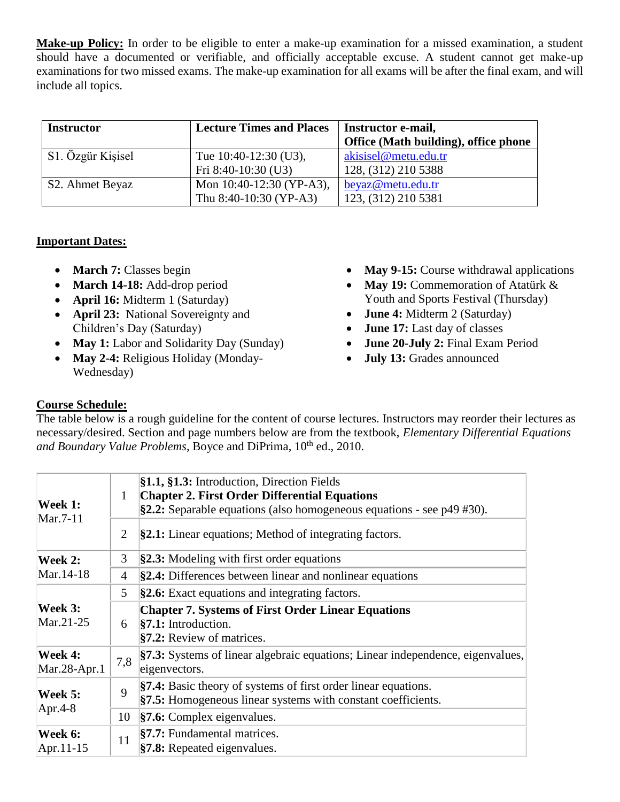**Make-up Policy:** In order to be eligible to enter a make-up examination for a missed examination, a student should have a documented or verifiable, and officially acceptable excuse. A student cannot get make-up examinations for two missed exams. The make-up examination for all exams will be after the final exam, and will include all topics.

| <b>Instructor</b>            | <b>Lecture Times and Places</b> | Instructor e-mail,<br>Office (Math building), office phone |
|------------------------------|---------------------------------|------------------------------------------------------------|
|                              |                                 |                                                            |
| S1. Özgür Kişisel            | Tue $10:40-12:30$ (U3),         | akisisel@metu.edu.tr                                       |
|                              | Fri 8:40-10:30 (U3)             | 128, (312) 210 5388                                        |
| S <sub>2</sub> . Ahmet Beyaz | Mon $10:40-12:30$ (YP-A3),      | beyaz@metu.edu.tr                                          |
|                              | Thu 8:40-10:30 (YP-A3)          | 123, (312) 210 5381                                        |

## **Important Dates:**

- March 7: Classes begin
- March 14-18: Add-drop period
- **April 16:** Midterm 1 (Saturday)
- **April 23:** National Sovereignty and Children's Day (Saturday)
- May 1: Labor and Solidarity Day (Sunday)
- May 2-4: Religious Holiday (Monday-Wednesday)
- May 9-15: Course withdrawal applications
- May 19: Commemoration of Atatürk & Youth and Sports Festival (Thursday)
- **June 4:** Midterm 2 (Saturday)
- **June 17:** Last day of classes
- **June 20-July 2:** Final Exam Period
- **July 13:** Grades announced

## **Course Schedule:**

The table below is a rough guideline for the content of course lectures. Instructors may reorder their lectures as necessary/desired. Section and page numbers below are from the textbook, *Elementary Differential Equations*  and Boundary Value Problems, Boyce and DiPrima, 10<sup>th</sup> ed., 2010.

| Week 1:<br>Mar.7-11      | 1              | §1.1, §1.3: Introduction, Direction Fields<br><b>Chapter 2. First Order Differential Equations</b><br>$\S2.2$ : Separable equations (also homogeneous equations - see p49 #30). |  |
|--------------------------|----------------|---------------------------------------------------------------------------------------------------------------------------------------------------------------------------------|--|
|                          | $\overline{2}$ | $\S2.1$ : Linear equations; Method of integrating factors.                                                                                                                      |  |
| Week 2:<br>Mar.14-18     | 3              | <b>§2.3:</b> Modeling with first order equations                                                                                                                                |  |
|                          | 4              | <b>§2.4:</b> Differences between linear and nonlinear equations                                                                                                                 |  |
| Week 3:<br>Mar.21-25     | 5              | §2.6: Exact equations and integrating factors.                                                                                                                                  |  |
|                          | 6              | <b>Chapter 7. Systems of First Order Linear Equations</b><br>$\$ {37.1: Introduction.}<br>§7.2: Review of matrices.                                                             |  |
| Week 4:<br>Mar.28-Apr.1  | 7,8            | §7.3: Systems of linear algebraic equations; Linear independence, eigenvalues,<br>eigenvectors.                                                                                 |  |
| Week 5:<br>Apr.4-8       | 9              | <b>§7.4:</b> Basic theory of systems of first order linear equations.<br>§7.5: Homogeneous linear systems with constant coefficients.                                           |  |
|                          | 10             | $\$ {37.6: Complex eigenvalues.}                                                                                                                                                |  |
| Week 6:<br>$[Apr.11-15]$ | 11             | §7.7: Fundamental matrices.<br><b>§7.8:</b> Repeated eigenvalues.                                                                                                               |  |